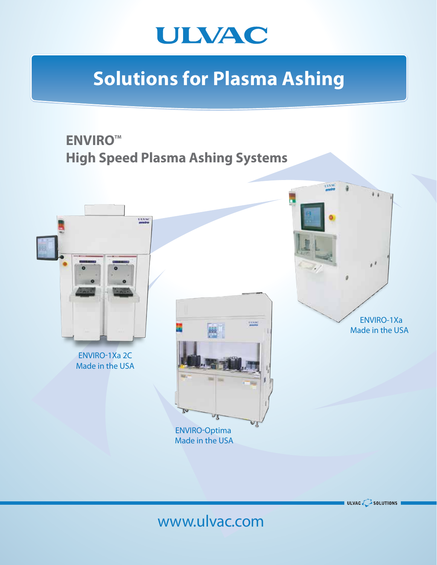

# **Solutions for Plasma Ashing**



ULVAC  $\bigcirc$  solutions i

## www.ulvac.com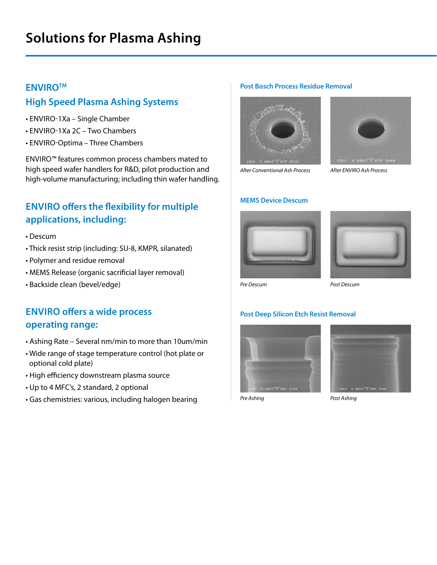### **ENVIROTM**

## **High Speed Plasma Ashing Systems**

- ENVIRO-1Xa Single Chamber
- ENVIRO-1Xa 2C Two Chambers
- ENVIRO-Optima Three Chambers

ENVIRO™ features common process chambers mated to high speed wafer handlers for R&D, pilot production and high-volume manufacturing; including thin wafer handling.

## **ENVIRO offers the flexibility for multiple applications, including:**

- Descum
- Thick resist strip (including: SU-8, KMPR, silanated)
- Polymer and residue removal
- MEMS Release (organic sacrificial layer removal)
- Backside clean (bevel/edge)

## **ENVIRO offers a wide process operating range:**

- Ashing Rate Several nm/min to more than 10um/min
- Wide range of stage temperature control (hot plate or optional cold plate)
- High efficiency downstream plasma source
- Up to 4 MFC's, 2 standard, 2 optional
- Gas chemistries: various, including halogen bearing

#### **Post Bosch Process Residue Removal**



*After Conventional Ash Process*



*After ENVIRO Ash Process* 

#### **MEMS Device Descum**





*Pre Descum*

### **Post Deep Silicon Etch Resist Removal**







*Post Ashing*

*Post Descum*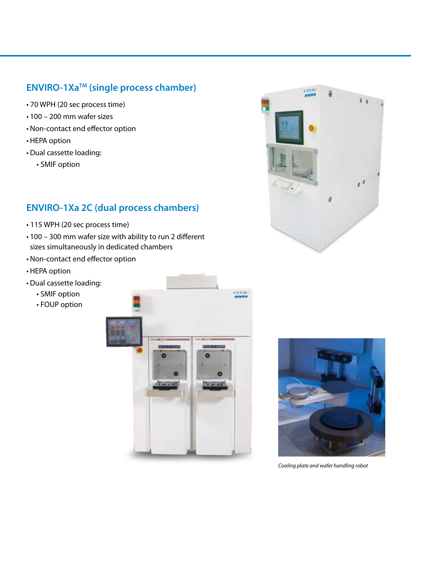## **ENVIRO-1XaTM (single process chamber)**

- 70 WPH (20 sec process time)
- 100 200 mm wafer sizes
- Non-contact end effector option
- HEPA option
- Dual cassette loading:
	- SMIF option

## **ENVIRO-1Xa 2C (dual process chambers)**

- 115 WPH (20 sec process time)
- 100 300 mm wafer size with ability to run 2 different sizes simultaneously in dedicated chambers
- Non-contact end effector option
- HEPA option
- Dual cassette loading:
	- SMIF option
	- FOUP option





UDA



*Cooling plate and wafer handling robot*